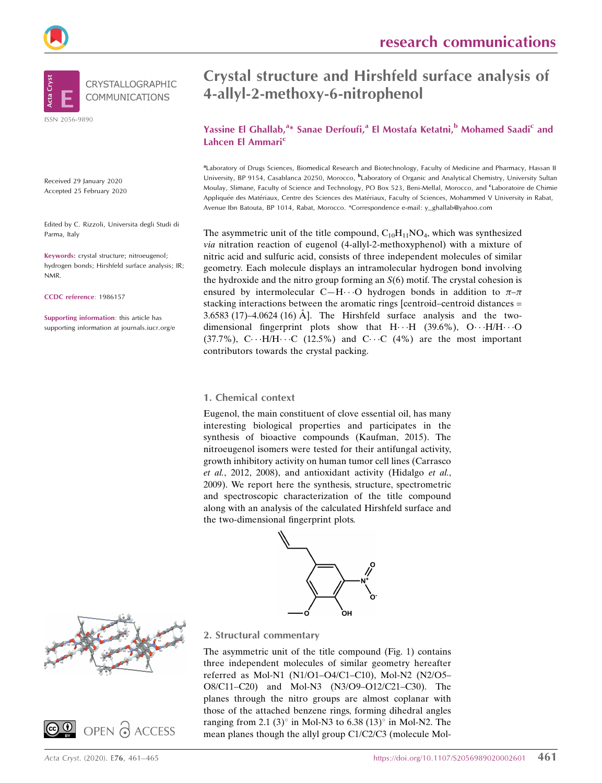



Received 29 January 2020 Accepted 25 February 2020

Edited by C. Rizzoli, Universita degli Studi di Parma, Italy

Keywords: crystal structure; nitroeugenol; hydrogen bonds; Hirshfeld surface analysis; IR; NMR.

CCDC reference: 1986157

Supporting information: this article has supporting information at journals.iucr.org/e

# Crystal structure and Hirshfeld surface analysis of 4-allyl-2-methoxy-6-nitrophenol

## Yassine El Ghallab,<sup>a\*</sup> Sanae Derfoufi,<sup>a</sup> El Mostafa Ketatni,<sup>b</sup> Mohamed Saadi<sup>c</sup> and Lahcen El Ammari<sup>c</sup>

aLaboratory of Drugs Sciences, Biomedical Research and Biotechnology, Faculty of Medicine and Pharmacy, Hassan II University, BP 9154, Casablanca 20250, Morocco, <sup>b</sup>Laboratory of Organic and Analytical Chemistry, University Sultan Moulay, Slimane, Faculty of Science and Technology, PO Box 523, Beni-Mellal, Morocco, and <sup>c</sup>Laboratoire de Chimie Appliquée des Matériaux, Centre des Sciences des Matériaux, Faculty of Sciences, Mohammed V University in Rabat, Avenue Ibn Batouta, BP 1014, Rabat, Morocco. \*Correspondence e-mail: y\_ghallab@yahoo.com

The asymmetric unit of the title compound,  $C_{10}H_{11}NO_4$ , which was synthesized via nitration reaction of eugenol (4-allyl-2-methoxyphenol) with a mixture of nitric acid and sulfuric acid, consists of three independent molecules of similar geometry. Each molecule displays an intramolecular hydrogen bond involving the hydroxide and the nitro group forming an  $S(6)$  motif. The crystal cohesion is ensured by intermolecular C-H $\cdots$ O hydrogen bonds in addition to  $\pi-\pi$ stacking interactions between the aromatic rings [centroid–centroid distances = 3.6583 (17)–4.0624 (16) Å. The Hirshfeld surface analysis and the twodimensional fingerprint plots show that  $H \cdot \cdot H$  (39.6%), O $\cdot \cdot \cdot H/H \cdot \cdot \cdot O$  $(37.7\%)$ , C $\cdots$ H/H $\cdots$ C  $(12.5\%)$  and C $\cdots$ C  $(4\%)$  are the most important contributors towards the crystal packing.

#### 1. Chemical context

Eugenol, the main constituent of clove essential oil, has many interesting biological properties and participates in the synthesis of bioactive compounds (Kaufman, 2015). The nitroeugenol isomers were tested for their antifungal activity, growth inhibitory activity on human tumor cell lines (Carrasco et al., 2012, 2008), and antioxidant activity (Hidalgo et al., 2009). We report here the synthesis, structure, spectrometric and spectroscopic characterization of the title compound along with an analysis of the calculated Hirshfeld surface and the two-dimensional fingerprint plots.







2. Structural commentary

The asymmetric unit of the title compound (Fig. 1) contains three independent molecules of similar geometry hereafter referred as Mol-N1 (N1/O1–O4/C1–C10), Mol-N2 (N2/O5– O8/C11–C20) and Mol-N3 (N3/O9–O12/C21–C30). The planes through the nitro groups are almost coplanar with those of the attached benzene rings, forming dihedral angles ranging from 2.1 (3) $\degree$  in Mol-N3 to 6.38 (13) $\degree$  in Mol-N2. The mean planes though the allyl group C1/C2/C3 (molecule Mol-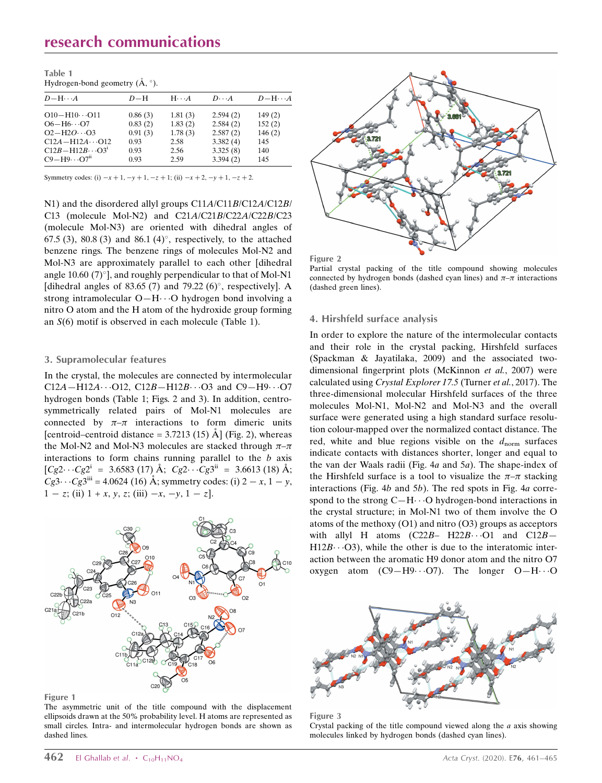# research communications

| Table 1                                            |  |
|----------------------------------------------------|--|
| Hydrogen-bond geometry $(\mathring{A}, \degree)$ . |  |

| $D-H\cdots A$                     | $D-H$   | $H \cdot \cdot \cdot A$ | $D\cdots A$ | $D - H \cdots A$ |
|-----------------------------------|---------|-------------------------|-------------|------------------|
| $O10 - H10 \cdots O11$            | 0.86(3) | 1.81(3)                 | 2.594(2)    | 149(2)           |
| $O6 - H6 \cdots O7$               | 0.83(2) | 1.83(2)                 | 2.584(2)    | 152(2)           |
| $O2 - H2O \cdot 0.03$             | 0.91(3) | 1.78(3)                 | 2.587(2)    | 146(2)           |
| $C12A - H12A \cdots O12$          | 0.93    | 2.58                    | 3.382(4)    | 145              |
| $C12B - H12B \cdots O3i$          | 0.93    | 2.56                    | 3.325(8)    | 140              |
| $C9 - H9 \cdots O7$ <sup>11</sup> | 0.93    | 2.59                    | 3.394(2)    | 145              |
|                                   |         |                         |             |                  |

Symmetry codes: (i)  $-x + 1$ ,  $-y + 1$ ,  $-z + 1$ ; (ii)  $-x + 2$ ,  $-y + 1$ ,  $-z + 2$ .

N1) and the disordered allyl groups C11A/C11B/C12A/C12B/ C13 (molecule Mol-N2) and C21A/C21B/C22A/C22B/C23 (molecule Mol-N3) are oriented with dihedral angles of 67.5 (3), 80.8 (3) and 86.1 (4) $^{\circ}$ , respectively, to the attached benzene rings. The benzene rings of molecules Mol-N2 and Mol-N3 are approximately parallel to each other [dihedral angle 10.60 (7) $^{\circ}$ ], and roughly perpendicular to that of Mol-N1 [dihedral angles of 83.65 (7) and 79.22 (6) $^{\circ}$ , respectively]. A strong intramolecular O-H $\cdots$ O hydrogen bond involving a nitro O atom and the H atom of the hydroxide group forming an S(6) motif is observed in each molecule (Table 1).

#### 3. Supramolecular features

In the crystal, the molecules are connected by intermolecular  $C12A - H12A \cdots O12$ ,  $C12B - H12B \cdots O3$  and  $C9 - H9 \cdots O7$ hydrogen bonds (Table 1; Figs. 2 and 3). In addition, centrosymmetrically related pairs of Mol-N1 molecules are connected by  $\pi-\pi$  interactions to form dimeric units [centroid–centroid distance =  $3.7213$  (15) Å] (Fig. 2), whereas the Mol-N2 and Mol-N3 molecules are stacked through  $\pi-\pi$ interactions to form chains running parallel to the  $b$  axis  $[Cg2\cdots Cg2^i = 3.6583(17) \text{ Å}; Cg2\cdots Cg3^{ii} = 3.6613(18) \text{ Å};$  $C_g3 \cdots C_g3^{iii} = 4.0624$  (16) Å; symmetry codes: (i)  $2 - x$ ,  $1 - y$ ,  $1 - z$ ; (ii)  $1 + x$ , y, z; (iii)  $-x$ ,  $-y$ ,  $1 - z$ ].



Figure 1

The asymmetric unit of the title compound with the displacement ellipsoids drawn at the 50% probability level. H atoms are represented as small circles. Intra- and intermolecular hydrogen bonds are shown as dashed lines.





Partial crystal packing of the title compound showing molecules connected by hydrogen bonds (dashed cyan lines) and  $\pi-\pi$  interactions (dashed green lines).

#### 4. Hirshfeld surface analysis

In order to explore the nature of the intermolecular contacts and their role in the crystal packing, Hirshfeld surfaces (Spackman & Jayatilaka, 2009) and the associated twodimensional fingerprint plots (McKinnon et al., 2007) were calculated using Crystal Explorer 17.5 (Turner et al., 2017). The three-dimensional molecular Hirshfeld surfaces of the three molecules Mol-N1, Mol-N2 and Mol-N3 and the overall surface were generated using a high standard surface resolution colour-mapped over the normalized contact distance. The red, white and blue regions visible on the  $d_{\text{norm}}$  surfaces indicate contacts with distances shorter, longer and equal to the van der Waals radii (Fig. 4a and 5a). The shape-index of the Hirshfeld surface is a tool to visualize the  $\pi-\pi$  stacking interactions (Fig. 4b and 5b). The red spots in Fig. 4a correspond to the strong  $C-H\cdots O$  hydrogen-bond interactions in the crystal structure; in Mol-N1 two of them involve the O atoms of the methoxy (O1) and nitro (O3) groups as acceptors with allyl H atoms  $(C22B - H22B \cdots O1$  and  $C12B H12B\cdots O3$ ), while the other is due to the interatomic interaction between the aromatic H9 donor atom and the nitro O7 oxygen atom  $(C9 - H9 \cdots O7)$ . The longer  $O - H \cdots O$ 



Figure 3

Crystal packing of the title compound viewed along the a axis showing molecules linked by hydrogen bonds (dashed cyan lines).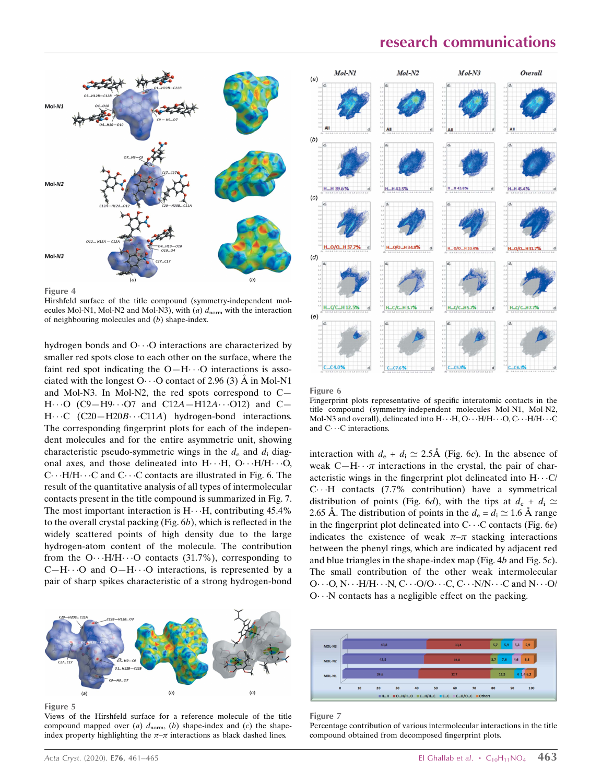# research communications



Figure 4

Hirshfeld surface of the title compound (symmetry-independent molecules Mol-N1, Mol-N2 and Mol-N3), with (a)  $d_{norm}$  with the interaction of neighbouring molecules and (b) shape-index.

hydrogen bonds and O···O interactions are characterized by smaller red spots close to each other on the surface, where the faint red spot indicating the  $O-H\cdots O$  interactions is associated with the longest O $\cdots$ O contact of 2.96 (3) Å in Mol-N1 and Mol-N3. In Mol-N2, the red spots correspond to C—  $H \cdots O$  (C9-H9 $\cdots$ O7 and C12A-H12A $\cdots$ O12) and C-H···C (C20-H20B···C11A) hydrogen-bond interactions. The corresponding fingerprint plots for each of the independent molecules and for the entire asymmetric unit, showing characteristic pseudo-symmetric wings in the  $d_e$  and  $d_i$  diagonal axes, and those delineated into H. . . H, O. . . H/H. . . . O, C···H/H···C and C···C contacts are illustrated in Fig. 6. The result of the quantitative analysis of all types of intermolecular contacts present in the title compound is summarized in Fig. 7. The most important interaction is  $H \cdots H$ , contributing 45.4% to the overall crystal packing (Fig. 6b), which is reflected in the widely scattered points of high density due to the large hydrogen-atom content of the molecule. The contribution from the O $\cdots$ H/H $\cdots$ O contacts (31.7%), corresponding to  $C-H\cdots O$  and  $O-H\cdots O$  interactions, is represented by a pair of sharp spikes characteristic of a strong hydrogen-bond



Figure 5

Views of the Hirshfeld surface for a reference molecule of the title compound mapped over  $(a)$   $d_{\text{norm}}$ ,  $(b)$  shape-index and  $(c)$  the shapeindex property highlighting the  $\pi-\pi$  interactions as black dashed lines.



Figure 6

Fingerprint plots representative of specific interatomic contacts in the title compound (symmetry-independent molecules Mol-N1, Mol-N2, Mol-N3 and overall), delineated into  $\mathrm{H}\cdot\cdot\mathrm{H}$ , O $\cdot\cdot\mathrm{H}/\mathrm{H}\cdot\cdot\cdot\mathrm{O}$ , C $\cdot\cdot\cdot\mathrm{H}/\mathrm{H}\cdot\cdot\cdot\mathrm{C}$ and  $C \cdots C$  interactions.

interaction with  $d_e + d_i \simeq 2.5\text{\AA}$  (Fig. 6c). In the absence of weak  $C-H \cdots \pi$  interactions in the crystal, the pair of characteristic wings in the fingerprint plot delineated into  $H \cdots C/$ C---H contacts (7.7% contribution) have a symmetrical distribution of points (Fig. 6d), with the tips at  $d_e + d_i \simeq$ 2.65 Å. The distribution of points in the  $d_e = d_i \approx 1.6$  Å range in the fingerprint plot delineated into  $C \cdots C$  contacts (Fig. 6e) indicates the existence of weak  $\pi-\pi$  stacking interactions between the phenyl rings, which are indicated by adjacent red and blue triangles in the shape-index map (Fig. 4b and Fig. 5c). The small contribution of the other weak intermolecular O · · · O, N · · · H/H · · · N, C · · · O/O · · · C, C · · · N/N · · · C and N · · · O/ O··· N contacts has a negligible effect on the packing.



Figure 7

Percentage contribution of various intermolecular interactions in the title compound obtained from decomposed fingerprint plots.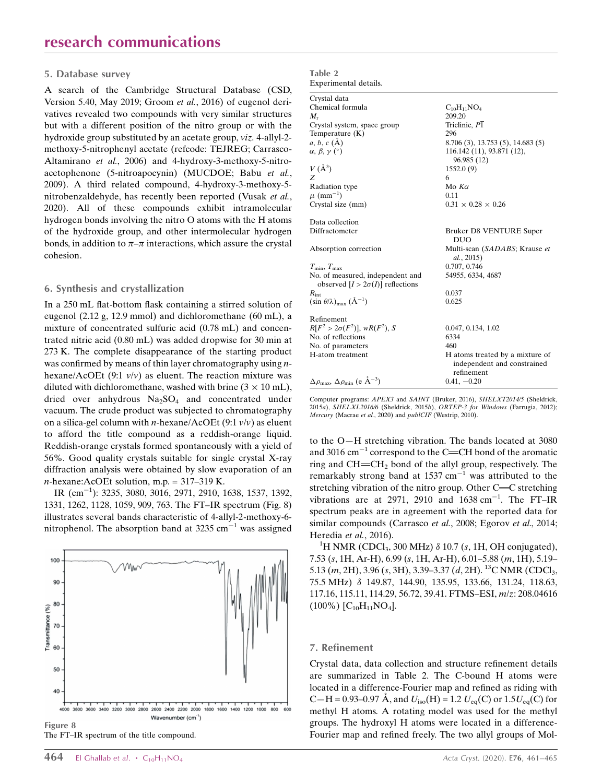#### 5. Database survey

A search of the Cambridge Structural Database (CSD, Version 5.40, May 2019; Groom et al., 2016) of eugenol derivatives revealed two compounds with very similar structures but with a different position of the nitro group or with the hydroxide group substituted by an acetate group, viz. 4-allyl-2 methoxy-5-nitrophenyl acetate (refcode: TEJREG; Carrasco-Altamirano et al., 2006) and 4-hydroxy-3-methoxy-5-nitroacetophenone (5-nitroapocynin) (MUCDOE; Babu et al., 2009). A third related compound, 4-hydroxy-3-methoxy-5 nitrobenzaldehyde, has recently been reported (Vusak et al., 2020). All of these compounds exhibit intramolecular hydrogen bonds involving the nitro O atoms with the H atoms of the hydroxide group, and other intermolecular hydrogen bonds, in addition to  $\pi-\pi$  interactions, which assure the crystal cohesion.

#### 6. Synthesis and crystallization

In a 250 mL flat-bottom flask containing a stirred solution of eugenol (2.12 g, 12.9 mmol) and dichloromethane (60 mL), a mixture of concentrated sulfuric acid (0.78 mL) and concentrated nitric acid (0.80 mL) was added dropwise for 30 min at 273 K. The complete disappearance of the starting product was confirmed by means of thin layer chromatography using *n*hexane/AcOEt (9:1  $v/v$ ) as eluent. The reaction mixture was diluted with dichloromethane, washed with brine  $(3 \times 10 \text{ mL})$ , dried over anhydrous  $Na<sub>2</sub>SO<sub>4</sub>$  and concentrated under vacuum. The crude product was subjected to chromatography on a silica-gel column with *n*-hexane/AcOEt (9:1  $v/v$ ) as eluent to afford the title compound as a reddish-orange liquid. Reddish-orange crystals formed spontaneously with a yield of 56%. Good quality crystals suitable for single crystal X-ray diffraction analysis were obtained by slow evaporation of an  $n$ -hexane:AcOEt solution, m.p. = 317–319 K.

IR (cm<sup>-1</sup>): 3235, 3080, 3016, 2971, 2910, 1638, 1537, 1392, 1331, 1262, 1128, 1059, 909, 763. The FT–IR spectrum (Fig. 8) illustrates several bands characteristic of 4-allyl-2-methoxy-6 nitrophenol. The absorption band at 3235 cm $^{-1}$  was assigned





| Table 2               |
|-----------------------|
| Experimental details. |

| Crystal data                                                                |                                                                              |
|-----------------------------------------------------------------------------|------------------------------------------------------------------------------|
| Chemical formula                                                            | $C_{10}H_{11}NO_4$                                                           |
| $M_{r}$                                                                     | 209.20                                                                       |
| Crystal system, space group                                                 | Triclinic, P1                                                                |
| Temperature $(K)$                                                           | 296                                                                          |
| $a, b, c (\AA)$                                                             | 8.706 (3), 13.753 (5), 14.683 (5)                                            |
| $\alpha, \beta, \gamma$ (°)                                                 | 116.142 (11), 93.871 (12),<br>96.985 (12)                                    |
| $V(\AA^3)$                                                                  | 1552.0(9)                                                                    |
| Z                                                                           | 6                                                                            |
| Radiation type                                                              | Mo $K\alpha$                                                                 |
| $\mu$ (mm <sup>-1</sup> )                                                   | 0.11                                                                         |
| Crystal size (mm)                                                           | $0.31 \times 0.28 \times 0.26$                                               |
| Data collection                                                             |                                                                              |
| Diffractometer                                                              | Bruker D8 VENTURE Super<br><b>DUO</b>                                        |
| Absorption correction                                                       | Multi-scan (SADABS; Krause et<br>al., 2015)                                  |
| $T_{\min}, T_{\max}$                                                        | 0.707, 0.746                                                                 |
| No. of measured, independent and<br>observed $[I > 2\sigma(I)]$ reflections | 54955, 6334, 4687                                                            |
| $R_{\rm int}$                                                               | 0.037                                                                        |
| $(\sin \theta/\lambda)_{\text{max}} (\text{\AA}^{-1})$                      | 0.625                                                                        |
| Refinement                                                                  |                                                                              |
| $R[F^2 > 2\sigma(F^2)], wR(F^2), S$                                         | 0.047, 0.134, 1.02                                                           |
| No. of reflections                                                          | 6334                                                                         |
| No. of parameters                                                           | 460                                                                          |
| H-atom treatment                                                            | H atoms treated by a mixture of<br>independent and constrained<br>refinement |
| $\Delta\rho_{\rm max},\,\Delta\rho_{\rm min}$ (e $\mathring{\rm A}^{-3})$   | $0.41, -0.20$                                                                |

Computer programs: APEX3 and SAINT (Bruker, 2016), SHELXT2014/5 (Sheldrick, 2015a), SHELXL2016/6 (Sheldrick, 2015b), ORTEP-3 for Windows (Farrugia, 2012); Mercury (Macrae et al., 2020) and publCIF (Westrip, 2010).

to the O—H stretching vibration. The bands located at 3080 and 3016  $\text{cm}^{-1}$  correspond to the C=CH bond of the aromatic ring and  $CH = CH<sub>2</sub>$  bond of the allyl group, respectively. The remarkably strong band at 1537 cm<sup>-1</sup> was attributed to the stretching vibration of the nitro group. Other  $C = C$  stretching vibrations are at 2971, 2910 and  $1638 \text{ cm}^{-1}$ . The FT-IR spectrum peaks are in agreement with the reported data for similar compounds (Carrasco et al., 2008; Egorov et al., 2014; Heredia et al., 2016).

<sup>1</sup>H NMR (CDCl<sub>3</sub>, 300 MHz)  $\delta$  10.7 (s, 1H, OH conjugated), 7.53 (s, 1H, Ar-H), 6.99 (s, 1H, Ar-H), 6.01–5.88 (m, 1H), 5.19– 5.13 (m, 2H), 3.96 (s, 3H), 3.39–3.37 (d, 2H). <sup>13</sup>C NMR (CDCl<sub>3</sub>, 75.5 MHz) 149.87, 144.90, 135.95, 133.66, 131.24, 118.63, 117.16, 115.11, 114.29, 56.72, 39.41. FTMS–ESI, m/z: 208.04616  $(100\%)$   $[C_{10}H_{11}NO<sub>4</sub>]$ .

#### 7. Refinement

Crystal data, data collection and structure refinement details are summarized in Table 2. The C-bound H atoms were located in a difference-Fourier map and refined as riding with C—H = 0.93–0.97 Å, and  $U_{iso}(H) = 1.2 U_{eq}(C)$  or  $1.5U_{eq}(C)$  for methyl H atoms. A rotating model was used for the methyl groups. The hydroxyl H atoms were located in a difference-Fourier map and refined freely. The two allyl groups of Mol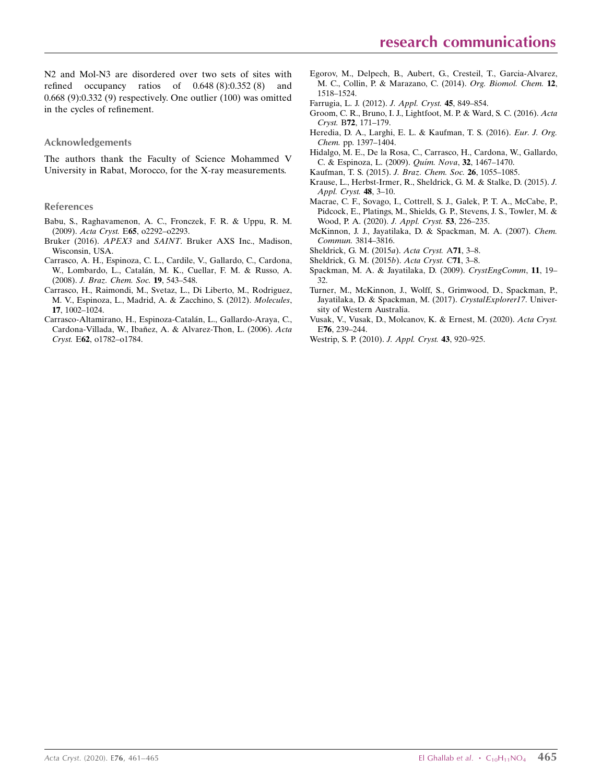N2 and Mol-N3 are disordered over two sets of sites with refined occupancy ratios of 0.648 (8):0.352 (8) and 0.668 (9):0.332 (9) respectively. One outlier (100) was omitted in the cycles of refinement.

#### Acknowledgements

The authors thank the Faculty of Science Mohammed V University in Rabat, Morocco, for the X-ray measurements.

#### References

- [Babu, S., Raghavamenon, A. C., Fronczek, F. R. & Uppu, R. M.](http://scripts.iucr.org/cgi-bin/cr.cgi?rm=pdfbb&cnor=rz5270&bbid=BB1) (2009). Acta Cryst. E65[, o2292–o2293.](http://scripts.iucr.org/cgi-bin/cr.cgi?rm=pdfbb&cnor=rz5270&bbid=BB1)
- Bruker (2016). APEX3 and SAINT[. Bruker AXS Inc., Madison,](http://scripts.iucr.org/cgi-bin/cr.cgi?rm=pdfbb&cnor=rz5270&bbid=BB2) [Wisconsin, USA.](http://scripts.iucr.org/cgi-bin/cr.cgi?rm=pdfbb&cnor=rz5270&bbid=BB2)
- [Carrasco, A. H., Espinoza, C. L., Cardile, V., Gallardo, C., Cardona,](http://scripts.iucr.org/cgi-bin/cr.cgi?rm=pdfbb&cnor=rz5270&bbid=BB3) W., Lombardo, L., Catalán, M. K., Cuellar, F. M. & Russo, A. (2008). [J. Braz. Chem. Soc.](http://scripts.iucr.org/cgi-bin/cr.cgi?rm=pdfbb&cnor=rz5270&bbid=BB3) 19, 543–548.
- [Carrasco, H., Raimondi, M., Svetaz, L., Di Liberto, M., Rodriguez,](http://scripts.iucr.org/cgi-bin/cr.cgi?rm=pdfbb&cnor=rz5270&bbid=BB4) [M. V., Espinoza, L., Madrid, A. & Zacchino, S. \(2012\).](http://scripts.iucr.org/cgi-bin/cr.cgi?rm=pdfbb&cnor=rz5270&bbid=BB4) Molecules, 17[, 1002–1024.](http://scripts.iucr.org/cgi-bin/cr.cgi?rm=pdfbb&cnor=rz5270&bbid=BB4)
- Carrasco-Altamirano, H., Espinoza-Catalán, L., Gallardo-Araya, C., Cardona-Villada, W., Ibañ[ez, A. & Alvarez-Thon, L. \(2006\).](http://scripts.iucr.org/cgi-bin/cr.cgi?rm=pdfbb&cnor=rz5270&bbid=BB5) Acta Cryst. E62[, o1782–o1784.](http://scripts.iucr.org/cgi-bin/cr.cgi?rm=pdfbb&cnor=rz5270&bbid=BB5)
- [Egorov, M., Delpech, B., Aubert, G., Cresteil, T., Garcia-Alvarez,](http://scripts.iucr.org/cgi-bin/cr.cgi?rm=pdfbb&cnor=rz5270&bbid=BB7) [M. C., Collin, P. & Marazano, C. \(2014\).](http://scripts.iucr.org/cgi-bin/cr.cgi?rm=pdfbb&cnor=rz5270&bbid=BB7) Org. Biomol. Chem. 12, [1518–1524.](http://scripts.iucr.org/cgi-bin/cr.cgi?rm=pdfbb&cnor=rz5270&bbid=BB7)
- [Farrugia, L. J. \(2012\).](http://scripts.iucr.org/cgi-bin/cr.cgi?rm=pdfbb&cnor=rz5270&bbid=BB7) J. Appl. Cryst. 45, 849–854.
- [Groom, C. R., Bruno, I. J., Lightfoot, M. P. & Ward, S. C. \(2016\).](http://scripts.iucr.org/cgi-bin/cr.cgi?rm=pdfbb&cnor=rz5270&bbid=BB8) Acta Cryst. B72[, 171–179.](http://scripts.iucr.org/cgi-bin/cr.cgi?rm=pdfbb&cnor=rz5270&bbid=BB8)
- [Heredia, D. A., Larghi, E. L. & Kaufman, T. S. \(2016\).](http://scripts.iucr.org/cgi-bin/cr.cgi?rm=pdfbb&cnor=rz5270&bbid=BB9) Eur. J. Org. Chem. [pp. 1397–1404.](http://scripts.iucr.org/cgi-bin/cr.cgi?rm=pdfbb&cnor=rz5270&bbid=BB9)
- [Hidalgo, M. E., De la Rosa, C., Carrasco, H., Cardona, W., Gallardo,](http://scripts.iucr.org/cgi-bin/cr.cgi?rm=pdfbb&cnor=rz5270&bbid=BB10) [C. & Espinoza, L. \(2009\).](http://scripts.iucr.org/cgi-bin/cr.cgi?rm=pdfbb&cnor=rz5270&bbid=BB10) *Quím. Nova*, **32**, 1467-1470.
- [Kaufman, T. S. \(2015\).](http://scripts.iucr.org/cgi-bin/cr.cgi?rm=pdfbb&cnor=rz5270&bbid=BB11) J. Braz. Chem. Soc. 26, 1055–1085.
- [Krause, L., Herbst-Irmer, R., Sheldrick, G. M. & Stalke, D. \(2015\).](http://scripts.iucr.org/cgi-bin/cr.cgi?rm=pdfbb&cnor=rz5270&bbid=BB12) J. [Appl. Cryst.](http://scripts.iucr.org/cgi-bin/cr.cgi?rm=pdfbb&cnor=rz5270&bbid=BB12) 48, 3–10.
- [Macrae, C. F., Sovago, I., Cottrell, S. J., Galek, P. T. A., McCabe, P.,](http://scripts.iucr.org/cgi-bin/cr.cgi?rm=pdfbb&cnor=rz5270&bbid=BB13) [Pidcock, E., Platings, M., Shields, G. P., Stevens, J. S., Towler, M. &](http://scripts.iucr.org/cgi-bin/cr.cgi?rm=pdfbb&cnor=rz5270&bbid=BB13) [Wood, P. A. \(2020\).](http://scripts.iucr.org/cgi-bin/cr.cgi?rm=pdfbb&cnor=rz5270&bbid=BB13) J. Appl. Cryst. 53, 226–235.
- [McKinnon, J. J., Jayatilaka, D. & Spackman, M. A. \(2007\).](http://scripts.iucr.org/cgi-bin/cr.cgi?rm=pdfbb&cnor=rz5270&bbid=BB14) Chem. Commun. [3814–3816.](http://scripts.iucr.org/cgi-bin/cr.cgi?rm=pdfbb&cnor=rz5270&bbid=BB14)
- [Sheldrick, G. M. \(2015](http://scripts.iucr.org/cgi-bin/cr.cgi?rm=pdfbb&cnor=rz5270&bbid=BB15)a). Acta Cryst. A71, 3–8.
- [Sheldrick, G. M. \(2015](http://scripts.iucr.org/cgi-bin/cr.cgi?rm=pdfbb&cnor=rz5270&bbid=BB16)b). Acta Cryst. C71, 3–8.
- [Spackman, M. A. & Jayatilaka, D. \(2009\).](http://scripts.iucr.org/cgi-bin/cr.cgi?rm=pdfbb&cnor=rz5270&bbid=BB17) CrystEngComm, 11, 19– [32.](http://scripts.iucr.org/cgi-bin/cr.cgi?rm=pdfbb&cnor=rz5270&bbid=BB17)
- [Turner, M., McKinnon, J., Wolff, S., Grimwood, D., Spackman, P.,](http://scripts.iucr.org/cgi-bin/cr.cgi?rm=pdfbb&cnor=rz5270&bbid=BB18) [Jayatilaka, D. & Spackman, M. \(2017\).](http://scripts.iucr.org/cgi-bin/cr.cgi?rm=pdfbb&cnor=rz5270&bbid=BB18) CrystalExplorer17. Univer[sity of Western Australia.](http://scripts.iucr.org/cgi-bin/cr.cgi?rm=pdfbb&cnor=rz5270&bbid=BB18)
- [Vusak, V., Vusak, D., Molcanov, K. & Ernest, M. \(2020\).](http://scripts.iucr.org/cgi-bin/cr.cgi?rm=pdfbb&cnor=rz5270&bbid=BB19) Acta Cryst. E76[, 239–244.](http://scripts.iucr.org/cgi-bin/cr.cgi?rm=pdfbb&cnor=rz5270&bbid=BB19)
- [Westrip, S. P. \(2010\).](http://scripts.iucr.org/cgi-bin/cr.cgi?rm=pdfbb&cnor=rz5270&bbid=BB20) J. Appl. Cryst. 43, 920-925.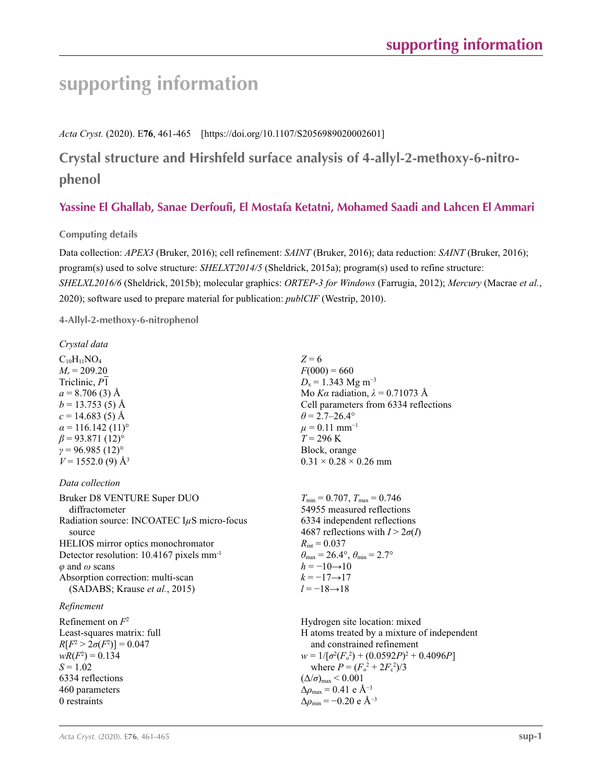# **supporting information**

*Acta Cryst.* (2020). E**76**, 461-465 [https://doi.org/10.1107/S2056989020002601]

**Crystal structure and Hirshfeld surface analysis of 4-allyl-2-methoxy-6-nitrophenol**

# **Yassine El Ghallab, Sanae Derfoufi, El Mostafa Ketatni, Mohamed Saadi and Lahcen El Ammari**

## **Computing details**

Data collection: *APEX3* (Bruker, 2016); cell refinement: *SAINT* (Bruker, 2016); data reduction: *SAINT* (Bruker, 2016); program(s) used to solve structure: *SHELXT2014/5* (Sheldrick, 2015a); program(s) used to refine structure: *SHELXL2016/6* (Sheldrick, 2015b); molecular graphics: *ORTEP*-*3 for Windows* (Farrugia, 2012); *Mercury* (Macrae *et al.*, 2020); software used to prepare material for publication: *publCIF* (Westrip, 2010).

**4-Allyl-2-methoxy-6-nitrophenol** 

*Crystal data*

 $C_{10}H_{11}NO_4$  $M_r = 209.20$ Triclinic, *P*1  $a = 8.706(3)$  Å  $b = 13.753(5)$  Å  $c = 14.683(5)$  Å  $\alpha$  = 116.142 (11)<sup>o</sup>  $\beta$  = 93.871 (12)<sup>o</sup>  $γ = 96.985(12)°$  $V = 1552.0$  (9) Å<sup>3</sup>

### *Data collection*

Bruker D8 VENTURE Super DUO diffractometer Radiation source: INCOATEC I*µ*S micro-focus source HELIOS mirror optics monochromator Detector resolution: 10.4167 pixels mm-1 *φ* and *ω* scans Absorption correction: multi-scan (SADABS; Krause *et al.*, 2015)

### *Refinement*

Refinement on *F*<sup>2</sup> Least-squares matrix: full *R*[ $F^2 > 2\sigma(F^2)$ ] = 0.047  $wR(F^2) = 0.134$ *S* = 1.02 6334 reflections 460 parameters 0 restraints

 $Z = 6$  $F(000) = 660$  $D_x = 1.343$  Mg m<sup>-3</sup> Mo *Kα* radiation, *λ* = 0.71073 Å Cell parameters from 6334 reflections  $\theta$  = 2.7–26.4°  $\mu = 0.11$  mm<sup>-1</sup> *T* = 296 K Block, orange  $0.31 \times 0.28 \times 0.26$  mm

 $T_{\text{min}} = 0.707, T_{\text{max}} = 0.746$ 54955 measured reflections 6334 independent reflections 4687 reflections with  $I > 2\sigma(I)$  $R_{\text{int}} = 0.037$  $\theta_{\text{max}} = 26.4^{\circ}, \theta_{\text{min}} = 2.7^{\circ}$  $h = -10 \rightarrow 10$  $k = -17 \rightarrow 17$ *l* = −18→18

Hydrogen site location: mixed H atoms treated by a mixture of independent and constrained refinement  $w = 1/[\sigma^2 (F_o^2) + (0.0592P)^2 + 0.4096P]$ where  $P = (F_o^2 + 2F_c^2)/3$  $(\Delta/\sigma)_{\text{max}}$  < 0.001  $\Delta\rho_{\text{max}} = 0.41$  e Å<sup>-3</sup>  $\Delta\rho_{\rm min}$  = −0.20 e Å<sup>-3</sup>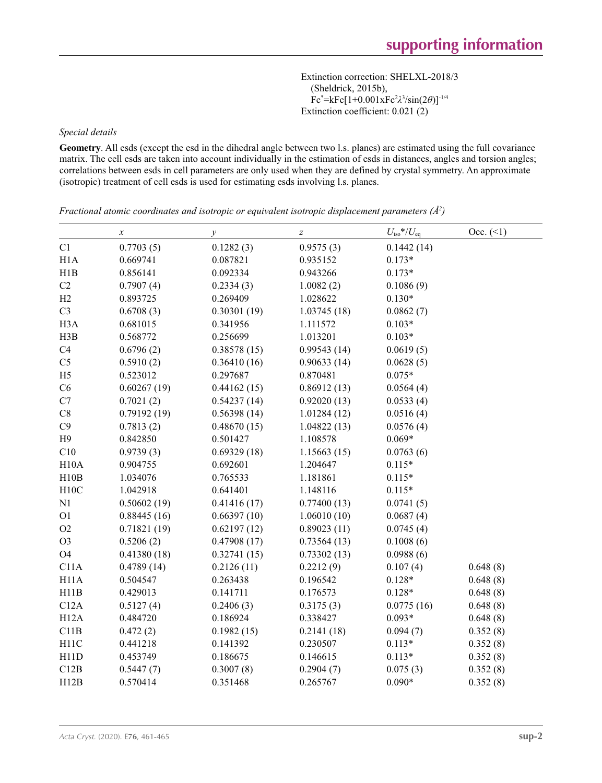Extinction correction: SHELXL-2018/3 (Sheldrick, 2015b), Fc\* =kFc[1+0.001xFc2 *λ*3 /sin(2*θ*)]-1/4 Extinction coefficient: 0.021 (2)

#### *Special details*

**Geometry**. All esds (except the esd in the dihedral angle between two l.s. planes) are estimated using the full covariance matrix. The cell esds are taken into account individually in the estimation of esds in distances, angles and torsion angles; correlations between esds in cell parameters are only used when they are defined by crystal symmetry. An approximate (isotropic) treatment of cell esds is used for estimating esds involving l.s. planes.

|                   | $\boldsymbol{\chi}$ | $\mathcal{Y}$ | $\boldsymbol{Z}$ | $U_{\rm iso}*/U_{\rm eq}$ | Occ. (2) |
|-------------------|---------------------|---------------|------------------|---------------------------|----------|
| C1                | 0.7703(5)           | 0.1282(3)     | 0.9575(3)        | 0.1442(14)                |          |
| H1A               | 0.669741            | 0.087821      | 0.935152         | $0.173*$                  |          |
| H1B               | 0.856141            | 0.092334      | 0.943266         | $0.173*$                  |          |
| C2                | 0.7907(4)           | 0.2334(3)     | 1.0082(2)        | 0.1086(9)                 |          |
| H2                | 0.893725            | 0.269409      | 1.028622         | $0.130*$                  |          |
| C <sub>3</sub>    | 0.6708(3)           | 0.30301(19)   | 1.03745(18)      | 0.0862(7)                 |          |
| H <sub>3</sub> A  | 0.681015            | 0.341956      | 1.111572         | $0.103*$                  |          |
| H3B               | 0.568772            | 0.256699      | 1.013201         | $0.103*$                  |          |
| C4                | 0.6796(2)           | 0.38578(15)   | 0.99543(14)      | 0.0619(5)                 |          |
| C <sub>5</sub>    | 0.5910(2)           | 0.36410(16)   | 0.90633(14)      | 0.0628(5)                 |          |
| H <sub>5</sub>    | 0.523012            | 0.297687      | 0.870481         | $0.075*$                  |          |
| C6                | 0.60267(19)         | 0.44162(15)   | 0.86912(13)      | 0.0564(4)                 |          |
| C7                | 0.7021(2)           | 0.54237(14)   | 0.92020(13)      | 0.0533(4)                 |          |
| $\rm{C}8$         | 0.79192(19)         | 0.56398(14)   | 1.01284(12)      | 0.0516(4)                 |          |
| C9                | 0.7813(2)           | 0.48670(15)   | 1.04822(13)      | 0.0576(4)                 |          |
| H9                | 0.842850            | 0.501427      | 1.108578         | $0.069*$                  |          |
| C10               | 0.9739(3)           | 0.69329(18)   | 1.15663(15)      | 0.0763(6)                 |          |
| H10A              | 0.904755            | 0.692601      | 1.204647         | $0.115*$                  |          |
| H10B              | 1.034076            | 0.765533      | 1.181861         | $0.115*$                  |          |
| H10C              | 1.042918            | 0.641401      | 1.148116         | $0.115*$                  |          |
| N1                | 0.50602(19)         | 0.41416(17)   | 0.77400(13)      | 0.0741(5)                 |          |
| O <sub>1</sub>    | 0.88445(16)         | 0.66397(10)   | 1.06010(10)      | 0.0687(4)                 |          |
| O2                | 0.71821(19)         | 0.62197(12)   | 0.89023(11)      | 0.0745(4)                 |          |
| O <sub>3</sub>    | 0.5206(2)           | 0.47908(17)   | 0.73564(13)      | 0.1008(6)                 |          |
| O <sub>4</sub>    | 0.41380(18)         | 0.32741(15)   | 0.73302(13)      | 0.0988(6)                 |          |
| C11A              | 0.4789(14)          | 0.2126(11)    | 0.2212(9)        | 0.107(4)                  | 0.648(8) |
| H <sub>11</sub> A | 0.504547            | 0.263438      | 0.196542         | $0.128*$                  | 0.648(8) |
| H11B              | 0.429013            | 0.141711      | 0.176573         | $0.128*$                  | 0.648(8) |
| C12A              | 0.5127(4)           | 0.2406(3)     | 0.3175(3)        | 0.0775(16)                | 0.648(8) |
| H12A              | 0.484720            | 0.186924      | 0.338427         | $0.093*$                  | 0.648(8) |
| C11B              | 0.472(2)            | 0.1982(15)    | 0.2141(18)       | 0.094(7)                  | 0.352(8) |
| H <sub>11</sub> C | 0.441218            | 0.141392      | 0.230507         | $0.113*$                  | 0.352(8) |
| H11D              | 0.453749            | 0.186675      | 0.146615         | $0.113*$                  | 0.352(8) |
| C12B              | 0.5447(7)           | 0.3007(8)     | 0.2904(7)        | 0.075(3)                  | 0.352(8) |
| H12B              | 0.570414            | 0.351468      | 0.265767         | $0.090*$                  | 0.352(8) |

*Fractional atomic coordinates and isotropic or equivalent isotropic displacement parameters (Å<sup>2</sup>)*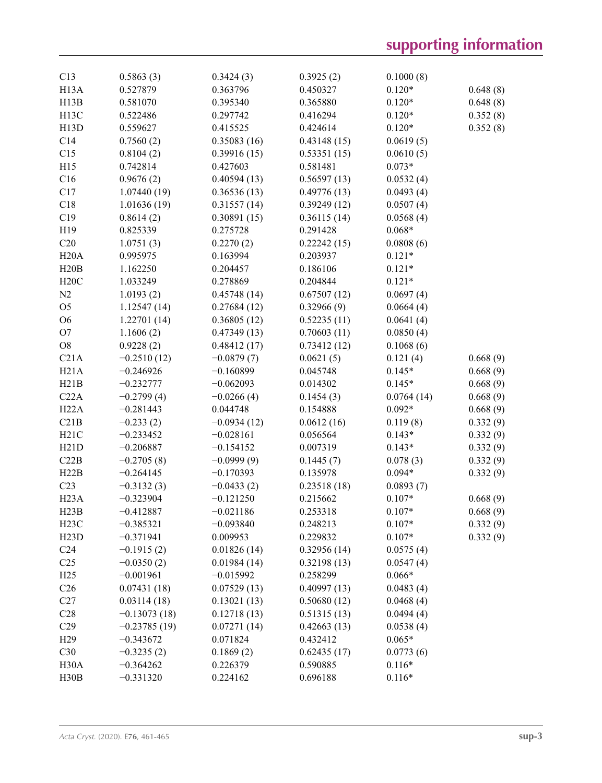| C13               | 0.5863(3)      | 0.3424(3)     | 0.3925(2)   | 0.1000(8)  |          |
|-------------------|----------------|---------------|-------------|------------|----------|
| H <sub>13</sub> A | 0.527879       | 0.363796      | 0.450327    | $0.120*$   | 0.648(8) |
| H13B              | 0.581070       | 0.395340      | 0.365880    | $0.120*$   | 0.648(8) |
| H <sub>13</sub> C | 0.522486       | 0.297742      | 0.416294    | $0.120*$   | 0.352(8) |
| H13D              | 0.559627       | 0.415525      | 0.424614    | $0.120*$   | 0.352(8) |
| C14               | 0.7560(2)      | 0.35083(16)   | 0.43148(15) | 0.0619(5)  |          |
| C15               | 0.8104(2)      | 0.39916(15)   | 0.53351(15) | 0.0610(5)  |          |
| H15               | 0.742814       | 0.427603      | 0.581481    | $0.073*$   |          |
| C16               | 0.9676(2)      | 0.40594(13)   | 0.56597(13) | 0.0532(4)  |          |
| C17               | 1.07440(19)    | 0.36536(13)   | 0.49776(13) | 0.0493(4)  |          |
| C18               | 1.01636(19)    | 0.31557(14)   | 0.39249(12) | 0.0507(4)  |          |
| C19               | 0.8614(2)      | 0.30891(15)   | 0.36115(14) | 0.0568(4)  |          |
| H19               | 0.825339       | 0.275728      | 0.291428    | $0.068*$   |          |
| C20               | 1.0751(3)      | 0.2270(2)     | 0.22242(15) | 0.0808(6)  |          |
| H20A              | 0.995975       | 0.163994      | 0.203937    | $0.121*$   |          |
| H20B              | 1.162250       | 0.204457      | 0.186106    | $0.121*$   |          |
| H20C              | 1.033249       | 0.278869      | 0.204844    | $0.121*$   |          |
| N2                | 1.0193(2)      | 0.45748(14)   | 0.67507(12) | 0.0697(4)  |          |
| O <sub>5</sub>    | 1.12547(14)    | 0.27684(12)   | 0.32966(9)  | 0.0664(4)  |          |
| O <sub>6</sub>    | 1.22701(14)    | 0.36805(12)   | 0.52235(11) | 0.0641(4)  |          |
| O <sub>7</sub>    | 1.1606(2)      | 0.47349(13)   | 0.70603(11) | 0.0850(4)  |          |
| ${\rm O}8$        | 0.9228(2)      | 0.48412(17)   | 0.73412(12) | 0.1068(6)  |          |
| C21A              | $-0.2510(12)$  | $-0.0879(7)$  | 0.0621(5)   | 0.121(4)   | 0.668(9) |
| H21A              | $-0.246926$    | $-0.160899$   | 0.045748    | $0.145*$   | 0.668(9) |
| H21B              | $-0.232777$    | $-0.062093$   | 0.014302    | $0.145*$   | 0.668(9) |
| C22A              | $-0.2799(4)$   | $-0.0266(4)$  | 0.1454(3)   | 0.0764(14) | 0.668(9) |
| H22A              | $-0.281443$    | 0.044748      | 0.154888    | $0.092*$   | 0.668(9) |
| C21B              | $-0.233(2)$    | $-0.0934(12)$ | 0.0612(16)  | 0.119(8)   | 0.332(9) |
| H21C              | $-0.233452$    | $-0.028161$   | 0.056564    | $0.143*$   | 0.332(9) |
| H21D              | $-0.206887$    | $-0.154152$   | 0.007319    | $0.143*$   | 0.332(9) |
| C22B              | $-0.2705(8)$   | $-0.0999(9)$  | 0.1445(7)   | 0.078(3)   | 0.332(9) |
| H22B              | $-0.264145$    | $-0.170393$   | 0.135978    | $0.094*$   | 0.332(9) |
| C <sub>23</sub>   | $-0.3132(3)$   | $-0.0433(2)$  | 0.23518(18) | 0.0893(7)  |          |
| H23A              | $-0.323904$    | $-0.121250$   | 0.215662    | $0.107*$   | 0.668(9) |
| H23B              | $-0.412887$    | $-0.021186$   | 0.253318    | $0.107*$   | 0.668(9) |
| H23C              | $-0.385321$    | $-0.093840$   | 0.248213    | $0.107*$   | 0.332(9) |
| H23D              | $-0.371941$    | 0.009953      | 0.229832    | $0.107*$   | 0.332(9) |
| C <sub>24</sub>   | $-0.1915(2)$   | 0.01826(14)   | 0.32956(14) | 0.0575(4)  |          |
| C <sub>25</sub>   | $-0.0350(2)$   | 0.01984(14)   | 0.32198(13) | 0.0547(4)  |          |
| H <sub>25</sub>   | $-0.001961$    | $-0.015992$   | 0.258299    | $0.066*$   |          |
| C <sub>26</sub>   | 0.07431(18)    | 0.07529(13)   | 0.40997(13) | 0.0483(4)  |          |
| C27               | 0.03114(18)    | 0.13021(13)   | 0.50680(12) | 0.0468(4)  |          |
| C28               | $-0.13073(18)$ | 0.12718(13)   | 0.51315(13) | 0.0494(4)  |          |
| C29               | $-0.23785(19)$ | 0.07271(14)   | 0.42663(13) | 0.0538(4)  |          |
| H <sub>29</sub>   | $-0.343672$    | 0.071824      | 0.432412    | $0.065*$   |          |
| C30               | $-0.3235(2)$   | 0.1869(2)     | 0.62435(17) | 0.0773(6)  |          |
| H <sub>30</sub> A | $-0.364262$    | 0.226379      | 0.590885    | $0.116*$   |          |
| H30B              | $-0.331320$    | 0.224162      | 0.696188    | $0.116*$   |          |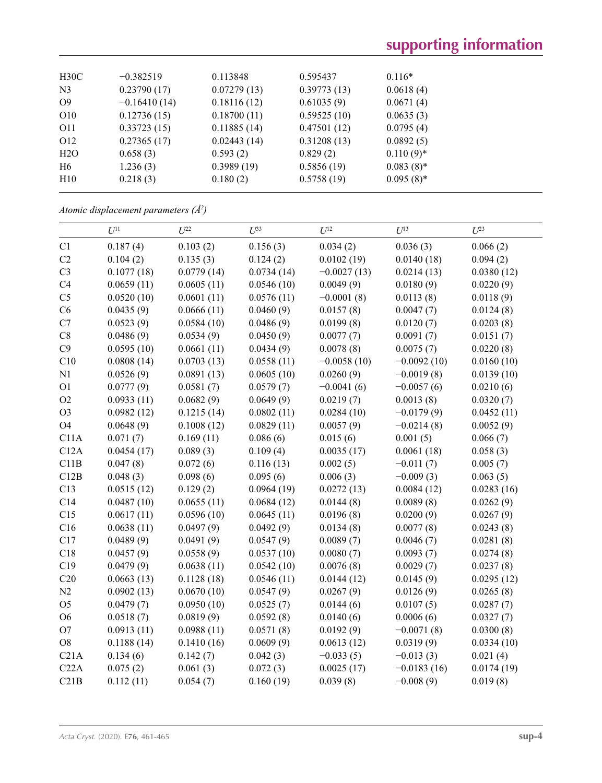| H30C            | $-0.382519$    | 0.113848    | 0.595437    | $0.116*$     |
|-----------------|----------------|-------------|-------------|--------------|
| N <sub>3</sub>  | 0.23790(17)    | 0.07279(13) | 0.39773(13) | 0.0618(4)    |
| O <sub>9</sub>  | $-0.16410(14)$ | 0.18116(12) | 0.61035(9)  | 0.0671(4)    |
| O <sub>10</sub> | 0.12736(15)    | 0.18700(11) | 0.59525(10) | 0.0635(3)    |
| O11             | 0.33723(15)    | 0.11885(14) | 0.47501(12) | 0.0795(4)    |
| O <sub>12</sub> | 0.27365(17)    | 0.02443(14) | 0.31208(13) | 0.0892(5)    |
| H2O             | 0.658(3)       | 0.593(2)    | 0.829(2)    | $0.110(9)^*$ |
| H <sub>6</sub>  | 1.236(3)       | 0.3989(19)  | 0.5856(19)  | $0.083(8)$ * |
| H10             | 0.218(3)       | 0.180(2)    | 0.5758(19)  | $0.095(8)$ * |
|                 |                |             |             |              |

*Atomic displacement parameters (Å2 )*

|                | $U^{11}$   | $U^{22}$   | $U^{33}$   | $U^{12}$      | $U^{13}$      | $U^{23}$   |
|----------------|------------|------------|------------|---------------|---------------|------------|
| C1             | 0.187(4)   | 0.103(2)   | 0.156(3)   | 0.034(2)      | 0.036(3)      | 0.066(2)   |
| C2             | 0.104(2)   | 0.135(3)   | 0.124(2)   | 0.0102(19)    | 0.0140(18)    | 0.094(2)   |
| C <sub>3</sub> | 0.1077(18) | 0.0779(14) | 0.0734(14) | $-0.0027(13)$ | 0.0214(13)    | 0.0380(12) |
| C4             | 0.0659(11) | 0.0605(11) | 0.0546(10) | 0.0049(9)     | 0.0180(9)     | 0.0220(9)  |
| C <sub>5</sub> | 0.0520(10) | 0.0601(11) | 0.0576(11) | $-0.0001(8)$  | 0.0113(8)     | 0.0118(9)  |
| C6             | 0.0435(9)  | 0.0666(11) | 0.0460(9)  | 0.0157(8)     | 0.0047(7)     | 0.0124(8)  |
| C7             | 0.0523(9)  | 0.0584(10) | 0.0486(9)  | 0.0199(8)     | 0.0120(7)     | 0.0203(8)  |
| $\rm{C}8$      | 0.0486(9)  | 0.0534(9)  | 0.0450(9)  | 0.0077(7)     | 0.0091(7)     | 0.0151(7)  |
| C9             | 0.0595(10) | 0.0661(11) | 0.0434(9)  | 0.0078(8)     | 0.0075(7)     | 0.0220(8)  |
| C10            | 0.0808(14) | 0.0703(13) | 0.0558(11) | $-0.0058(10)$ | $-0.0092(10)$ | 0.0160(10) |
| N1             | 0.0526(9)  | 0.0891(13) | 0.0605(10) | 0.0260(9)     | $-0.0019(8)$  | 0.0139(10) |
| O <sub>1</sub> | 0.0777(9)  | 0.0581(7)  | 0.0579(7)  | $-0.0041(6)$  | $-0.0057(6)$  | 0.0210(6)  |
| O2             | 0.0933(11) | 0.0682(9)  | 0.0649(9)  | 0.0219(7)     | 0.0013(8)     | 0.0320(7)  |
| O <sub>3</sub> | 0.0982(12) | 0.1215(14) | 0.0802(11) | 0.0284(10)    | $-0.0179(9)$  | 0.0452(11) |
| <b>O4</b>      | 0.0648(9)  | 0.1008(12) | 0.0829(11) | 0.0057(9)     | $-0.0214(8)$  | 0.0052(9)  |
| C11A           | 0.071(7)   | 0.169(11)  | 0.086(6)   | 0.015(6)      | 0.001(5)      | 0.066(7)   |
| C12A           | 0.0454(17) | 0.089(3)   | 0.109(4)   | 0.0035(17)    | 0.0061(18)    | 0.058(3)   |
| C11B           | 0.047(8)   | 0.072(6)   | 0.116(13)  | 0.002(5)      | $-0.011(7)$   | 0.005(7)   |
| C12B           | 0.048(3)   | 0.098(6)   | 0.095(6)   | 0.006(3)      | $-0.009(3)$   | 0.063(5)   |
| C13            | 0.0515(12) | 0.129(2)   | 0.0964(19) | 0.0272(13)    | 0.0084(12)    | 0.0283(16) |
| C14            | 0.0487(10) | 0.0655(11) | 0.0684(12) | 0.0144(8)     | 0.0089(8)     | 0.0262(9)  |
| C15            | 0.0617(11) | 0.0596(10) | 0.0645(11) | 0.0196(8)     | 0.0200(9)     | 0.0267(9)  |
| C16            | 0.0638(11) | 0.0497(9)  | 0.0492(9)  | 0.0134(8)     | 0.0077(8)     | 0.0243(8)  |
| C17            | 0.0489(9)  | 0.0491(9)  | 0.0547(9)  | 0.0089(7)     | 0.0046(7)     | 0.0281(8)  |
| C18            | 0.0457(9)  | 0.0558(9)  | 0.0537(10) | 0.0080(7)     | 0.0093(7)     | 0.0274(8)  |
| C19            | 0.0479(9)  | 0.0638(11) | 0.0542(10) | 0.0076(8)     | 0.0029(7)     | 0.0237(8)  |
| C20            | 0.0663(13) | 0.1128(18) | 0.0546(11) | 0.0144(12)    | 0.0145(9)     | 0.0295(12) |
| N2             | 0.0902(13) | 0.0670(10) | 0.0547(9)  | 0.0267(9)     | 0.0126(9)     | 0.0265(8)  |
| O <sub>5</sub> | 0.0479(7)  | 0.0950(10) | 0.0525(7)  | 0.0144(6)     | 0.0107(5)     | 0.0287(7)  |
| O <sub>6</sub> | 0.0518(7)  | 0.0819(9)  | 0.0592(8)  | 0.0140(6)     | 0.0006(6)     | 0.0327(7)  |
| O <sub>7</sub> | 0.0913(11) | 0.0988(11) | 0.0571(8)  | 0.0192(9)     | $-0.0071(8)$  | 0.0300(8)  |
| ${\rm O}8$     | 0.1188(14) | 0.1410(16) | 0.0609(9)  | 0.0613(12)    | 0.0319(9)     | 0.0334(10) |
| C21A           | 0.134(6)   | 0.142(7)   | 0.042(3)   | $-0.033(5)$   | $-0.013(3)$   | 0.021(4)   |
| C22A           | 0.075(2)   | 0.061(3)   | 0.072(3)   | 0.0025(17)    | $-0.0183(16)$ | 0.0174(19) |
| C21B           | 0.112(11)  | 0.054(7)   | 0.160(19)  | 0.039(8)      | $-0.008(9)$   | 0.019(8)   |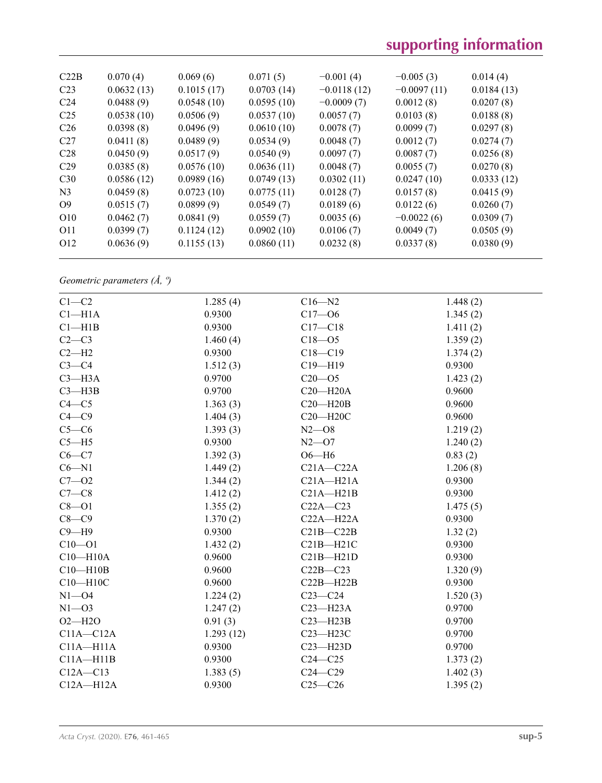# **supporting information**

| C22B            | 0.070(4)   | 0.069(6)   | 0.071(5)   | $-0.001(4)$   | $-0.005(3)$   | 0.014(4)   |
|-----------------|------------|------------|------------|---------------|---------------|------------|
| C <sub>23</sub> | 0.0632(13) | 0.1015(17) | 0.0703(14) | $-0.0118(12)$ | $-0.0097(11)$ | 0.0184(13) |
| C <sub>24</sub> | 0.0488(9)  | 0.0548(10) | 0.0595(10) | $-0.0009(7)$  | 0.0012(8)     | 0.0207(8)  |
| C <sub>25</sub> | 0.0538(10) | 0.0506(9)  | 0.0537(10) | 0.0057(7)     | 0.0103(8)     | 0.0188(8)  |
| C <sub>26</sub> | 0.0398(8)  | 0.0496(9)  | 0.0610(10) | 0.0078(7)     | 0.0099(7)     | 0.0297(8)  |
| C27             | 0.0411(8)  | 0.0489(9)  | 0.0534(9)  | 0.0048(7)     | 0.0012(7)     | 0.0274(7)  |
| C28             | 0.0450(9)  | 0.0517(9)  | 0.0540(9)  | 0.0097(7)     | 0.0087(7)     | 0.0256(8)  |
| C <sub>29</sub> | 0.0385(8)  | 0.0576(10) | 0.0636(11) | 0.0048(7)     | 0.0055(7)     | 0.0270(8)  |
| C30             | 0.0586(12) | 0.0989(16) | 0.0749(13) | 0.0302(11)    | 0.0247(10)    | 0.0333(12) |
| N <sub>3</sub>  | 0.0459(8)  | 0.0723(10) | 0.0775(11) | 0.0128(7)     | 0.0157(8)     | 0.0415(9)  |
| O <sub>9</sub>  | 0.0515(7)  | 0.0899(9)  | 0.0549(7)  | 0.0189(6)     | 0.0122(6)     | 0.0260(7)  |
| O <sub>10</sub> | 0.0462(7)  | 0.0841(9)  | 0.0559(7)  | 0.0035(6)     | $-0.0022(6)$  | 0.0309(7)  |
| O11             | 0.0399(7)  | 0.1124(12) | 0.0902(10) | 0.0106(7)     | 0.0049(7)     | 0.0505(9)  |
| O <sub>12</sub> | 0.0636(9)  | 0.1155(13) | 0.0860(11) | 0.0232(8)     | 0.0337(8)     | 0.0380(9)  |
|                 |            |            |            |               |               |            |

*Geometric parameters (Å, º)*

| $C1-C2$            | 1.285(4)  | $C16 - N2$    | 1.448(2) |
|--------------------|-----------|---------------|----------|
| Cl <sub>–H1A</sub> | 0.9300    | $C17 - 06$    | 1.345(2) |
| Cl—H1B             | 0.9300    | $C17 - C18$   | 1.411(2) |
| $C2-C3$            | 1.460(4)  | $C18 - 05$    | 1.359(2) |
| $C2 - H2$          | 0.9300    | $C18 - C19$   | 1.374(2) |
| $C3-C4$            | 1.512(3)  | $C19 - H19$   | 0.9300   |
| $C3 - H3A$         | 0.9700    | $C20 - 05$    | 1.423(2) |
| $C3 - H3B$         | 0.9700    | $C20 - H20A$  | 0.9600   |
| $C4 - C5$          | 1.363(3)  | $C20 - H20B$  | 0.9600   |
| $C4 - C9$          | 1.404(3)  | $C20 - H20C$  | 0.9600   |
| $C5-C6$            | 1.393(3)  | $N2 - 08$     | 1.219(2) |
| $C5 - H5$          | 0.9300    | $N2 - 07$     | 1.240(2) |
| $C6 - C7$          | 1.392(3)  | $O6 - H6$     | 0.83(2)  |
| $C6 - N1$          | 1.449(2)  | $C21A - C22A$ | 1.206(8) |
| $C7 - 02$          | 1.344(2)  | $C21A - H21A$ | 0.9300   |
| $C7-C8$            | 1.412(2)  | $C21A - H21B$ | 0.9300   |
| $C8 - O1$          | 1.355(2)  | $C22A - C23$  | 1.475(5) |
| $C8-C9$            | 1.370(2)  | $C22A - H22A$ | 0.9300   |
| $C9 - H9$          | 0.9300    | $C21B - C22B$ | 1.32(2)  |
| $C10 - 01$         | 1.432(2)  | $C21B - H21C$ | 0.9300   |
| $C10 - H10A$       | 0.9600    | $C21B - H21D$ | 0.9300   |
| $C10 - H10B$       | 0.9600    | $C22B - C23$  | 1.320(9) |
| $C10 - H10C$       | 0.9600    | $C22B - H22B$ | 0.9300   |
| $N1 - 04$          | 1.224(2)  | $C23-C24$     | 1.520(3) |
| $N1 - 03$          | 1.247(2)  | $C23 - H23A$  | 0.9700   |
| $O2 - H2O$         | 0.91(3)   | $C23 - H23B$  | 0.9700   |
| $C11A - C12A$      | 1.293(12) | $C23 - H23C$  | 0.9700   |
| $C11A - H11A$      | 0.9300    | $C23 - H23D$  | 0.9700   |
| $C11A - H11B$      | 0.9300    | $C24 - C25$   | 1.373(2) |
| $C12A - C13$       | 1.383(5)  | $C24 - C29$   | 1.402(3) |
| $C12A - H12A$      | 0.9300    | $C25-C26$     | 1.395(2) |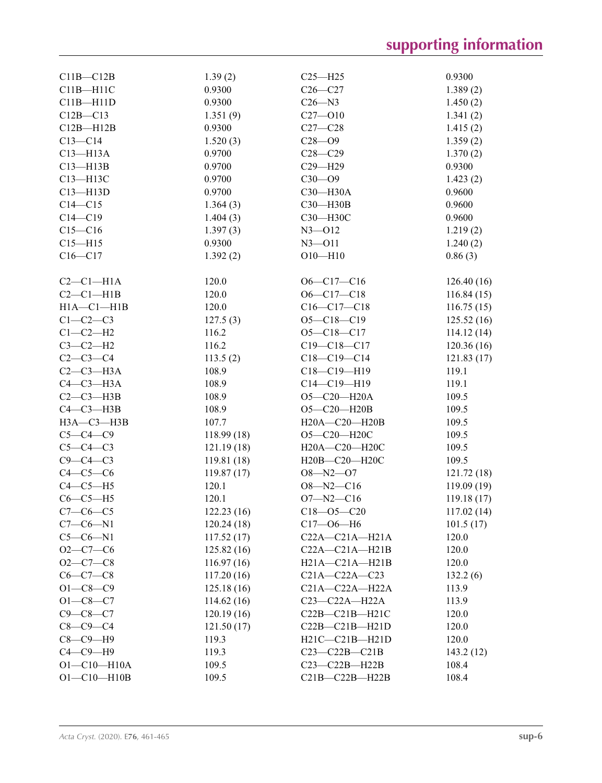| $C11B - C12B$     | 1.39(2)    | $C25 - H25$          | 0.9300     |
|-------------------|------------|----------------------|------------|
| $C11B - H11C$     | 0.9300     | $C26-C27$            | 1.389(2)   |
| $C11B - H11D$     | 0.9300     | $C26 - N3$           | 1.450(2)   |
| $C12B - C13$      | 1.351(9)   | $C27 - 010$          | 1.341(2)   |
| $C12B - H12B$     | 0.9300     | $C27-C28$            | 1.415(2)   |
| $C13 - C14$       | 1.520(3)   | $C28 - 09$           | 1.359(2)   |
| $C13 - H13A$      | 0.9700     | $C28 - C29$          | 1.370(2)   |
| $C13 - H13B$      | 0.9700     | $C29 - H29$          | 0.9300     |
| C13-H13C          | 0.9700     | $C30 - O9$           | 1.423(2)   |
| $C13 - H13D$      | 0.9700     | C30-H30A             | 0.9600     |
| $C14 - C15$       | 1.364(3)   | C30-H30B             | 0.9600     |
| $C14 - C19$       | 1.404(3)   | СЗ0-НЗ0С             | 0.9600     |
| $C15 - C16$       | 1.397(3)   | $N3 - 012$           | 1.219(2)   |
| $C15 - H15$       | 0.9300     | $N3 - 011$           | 1.240(2)   |
| $C16 - C17$       | 1.392(2)   | $O10 - H10$          | 0.86(3)    |
|                   |            |                      |            |
| $C2-C1-H1A$       | 120.0      | $O6-C17-C16$         | 126.40(16) |
| $C2-C1-H1B$       | 120.0      | $O6-C17-C18$         | 116.84(15) |
| $H1A - C1 - H1B$  | 120.0      | $C16-C17-C18$        | 116.75(15) |
| $C1-C2-C3$        | 127.5(3)   | $O5 - C18 - C19$     | 125.52(16) |
| $C1-C2-H2$        | 116.2      | $O5 - C18 - C17$     | 114.12(14) |
| $C3-C2-H2$        | 116.2      | $C19 - C18 - C17$    | 120.36(16) |
| $C2 - C3 - C4$    | 113.5(2)   | $C18-C19-C14$        | 121.83(17) |
| $C2-C3-H3A$       | 108.9      | $C18 - C19 - H19$    | 119.1      |
| $C4-C3-H3A$       | 108.9      | $C14 - C19 - H19$    | 119.1      |
| $C2-C3-H3B$       | 108.9      | $O5 - C20 - H20A$    | 109.5      |
| $C4-C3-H3B$       | 108.9      | O5-C20-H20B          | 109.5      |
| НЗА-СЗ-НЗВ        | 107.7      | H20A-C20-H20B        | 109.5      |
| $C5-C4-C9$        | 118.99(18) | O5-C20-H20C          | 109.5      |
| $C5-C4-C3$        | 121.19(18) | H20A-C20-H20C        | 109.5      |
| $C9 - C4 - C3$    | 119.81(18) | H20B-C20-H20C        | 109.5      |
| $C4-C5-C6$        | 119.87(17) | $O8 - N2 - O7$       | 121.72(18) |
| $C4-C5-H5$        | 120.1      | $O8 - N2 - C16$      | 119.09(19) |
| $C6-C5-H5$        | 120.1      | $O7 - N2 - C16$      | 119.18(17) |
| $C7-C6-C5$        | 122.23(16) | $C18 - 05 - C20$     | 117.02(14) |
| $C7-C6-N1$        | 120.24(18) | $C17 - 06 - H6$      | 101.5(17)  |
| $C5-C6-N1$        | 117.52(17) | $C22A - C21A - H21A$ | 120.0      |
| $O2 - C7 - C6$    | 125.82(16) | $C22A - C21A - H21B$ | 120.0      |
| $O2-C7-C8$        | 116.97(16) | $H21A - C21A - H21B$ | 120.0      |
| $C6-C7-C8$        | 117.20(16) | $C21A - C22A - C23$  | 132.2(6)   |
| $O1 - C8 - C9$    | 125.18(16) | $C21A - C22A - H22A$ | 113.9      |
| $O1 - C8 - C7$    | 114.62(16) | $C23-C22A-H22A$      | 113.9      |
| $C9 - C8 - C7$    | 120.19(16) | C22B-C21B-H21C       | 120.0      |
| $C8-C9-C4$        | 121.50(17) | $C22B - C21B - H21D$ | 120.0      |
| $C8-C9-H9$        | 119.3      | $H21C-C21B-H21D$     | 120.0      |
| $C4-C9-H9$        | 119.3      | $C23-C22B-C21B$      | 143.2(12)  |
| $O1 - C10 - H10A$ | 109.5      | $C23-C22B-H22B$      | 108.4      |
| $O1 - C10 - H10B$ | 109.5      | C21B-C22B-H22B       | 108.4      |
|                   |            |                      |            |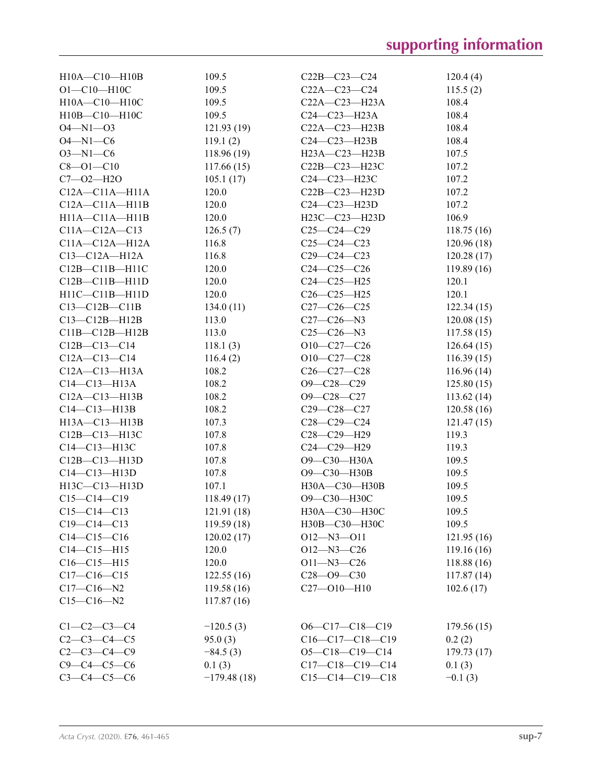| $H10A - C10 - H10B$                       | 109.5         | $C22B - C23 - C24$           | 120.4(4)   |
|-------------------------------------------|---------------|------------------------------|------------|
| $O1 - C10 - H10C$                         | 109.5         | $C22A - C23 - C24$           | 115.5(2)   |
| H10A-C10-H10C                             | 109.5         | $C22A - C23 - H23A$          | 108.4      |
| H10B-C10-H10C                             | 109.5         | $C24-C23-H23A$               | 108.4      |
| $O4 - N1 - O3$                            | 121.93(19)    | $C22A - C23 - H23B$          | 108.4      |
| $O4 - N1 - C6$                            | 119.1(2)      | $C24-C23-H23B$               | 108.4      |
| $O3 - N1 - C6$                            | 118.96(19)    | H23A-C23-H23B                | 107.5      |
| $C8 - O1 - C10$                           | 117.66(15)    | $C22B - C23 - H23C$          | 107.2      |
| $C7 - 02 - H2O$                           | 105.1(17)     | $C24-C23-H23C$               | 107.2      |
| $C12A - C11A - H11A$                      | 120.0         | $C22B-C23-H23D$              | 107.2      |
| $C12A - C11A - H11B$                      | 120.0         | $C24-C23-H23D$               | 107.2      |
| H11A-C11A-H11B                            | 120.0         | H23C-C23-H23D                | 106.9      |
| $C11A - C12A - C13$                       | 126.5(7)      | $C25-C24-C29$                | 118.75(16) |
| $C11A - C12A - H12A$                      | 116.8         | $C25-C24-C23$                | 120.96(18) |
| $C13-C12A-H12A$                           | 116.8         | $C29 - C24 - C23$            | 120.28(17) |
| $C12B - C11B - H11C$                      | 120.0         | $C24 - C25 - C26$            | 119.89(16) |
| $C12B - C11B - H11D$                      | 120.0         | $C24 - C25 - H25$            | 120.1      |
| $H11C-C11B-H11D$                          | 120.0         | $C26-C25-H25$                | 120.1      |
| $C13-C12B-C11B$                           | 134.0(11)     | $C27-C26-C25$                | 122.34(15) |
| $C13-C12B-H12B$                           | 113.0         | $C27 - C26 - N3$             | 120.08(15) |
| $C11B - C12B - H12B$                      | 113.0         | $C25 - C26 - N3$             | 117.58(15) |
| $C12B - C13 - C14$                        | 118.1(3)      | $O10-C27-C26$                | 126.64(15) |
| $C12A - C13 - C14$                        | 116.4(2)      | $O10-C27-C28$                | 116.39(15) |
| $C12A - C13 - H13A$                       | 108.2         | $C26 - C27 - C28$            | 116.96(14) |
| $C14 - C13 - H13A$                        | 108.2         | $O9 - C28 - C29$             | 125.80(15) |
| $C12A - C13 - H13B$                       | 108.2         | $O9 - C28 - C27$             | 113.62(14) |
| $C14-C13-H13B$                            | 108.2         | $C29 - C28 - C27$            | 120.58(16) |
| H13A-C13-H13B                             | 107.3         | $C28-C29-C24$                | 121.47(15) |
| $C12B - C13 - H13C$                       | 107.8         | C28-C29-H29                  | 119.3      |
| $C14-C13-H13C$                            | 107.8         | C24-C29-H29                  | 119.3      |
|                                           | 107.8         | O9-C30-H30A                  | 109.5      |
| $C12B - C13 - H13D$<br>$C14 - C13 - H13D$ | 107.8         |                              |            |
|                                           | 107.1         | O9-C30-H30B<br>H30A-C30-H30B | 109.5      |
| $H13C - C13 - H13D$                       |               |                              | 109.5      |
| $C15-C14-C19$                             | 118.49(17)    | О9-С30-Н30С                  | 109.5      |
| $C15 - C14 - C13$                         | 121.91(18)    | H30A-C30-H30C                | 109.5      |
| $C19 - C14 - C13$                         | 119.59(18)    | H30B-C30-H30C                | 109.5      |
| $C14-C15-C16$                             | 120.02(17)    | $O12 - N3 - O11$             | 121.95(16) |
| $C14 - C15 - H15$                         | 120.0         | $O12 - N3 - C26$             | 119.16(16) |
| $C16-C15-H15$                             | 120.0         | $O11 - N3 - C26$             | 118.88(16) |
| $C17-C16-C15$                             | 122.55(16)    | $C28 - 09 - C30$             | 117.87(14) |
| $C17 - C16 - N2$                          | 119.58(16)    | $C27 - 010 - H10$            | 102.6(17)  |
| $C15-C16-N2$                              | 117.87(16)    |                              |            |
| $C1 - C2 - C3 - C4$                       | $-120.5(3)$   | $O6-C17-C18-C19$             | 179.56(15) |
| $C2 - C3 - C4 - C5$                       | 95.0(3)       | $C16-C17-C18-C19$            | 0.2(2)     |
| $C2 - C3 - C4 - C9$                       | $-84.5(3)$    | $O5-C18-C19-C14$             | 179.73(17) |
| $C9 - C4 - C5 - C6$                       | 0.1(3)        | $C17-C18-C19-C14$            | 0.1(3)     |
| $C3 - C4 - C5 - C6$                       | $-179.48(18)$ | $C15-C14-C19-C18$            | $-0.1(3)$  |